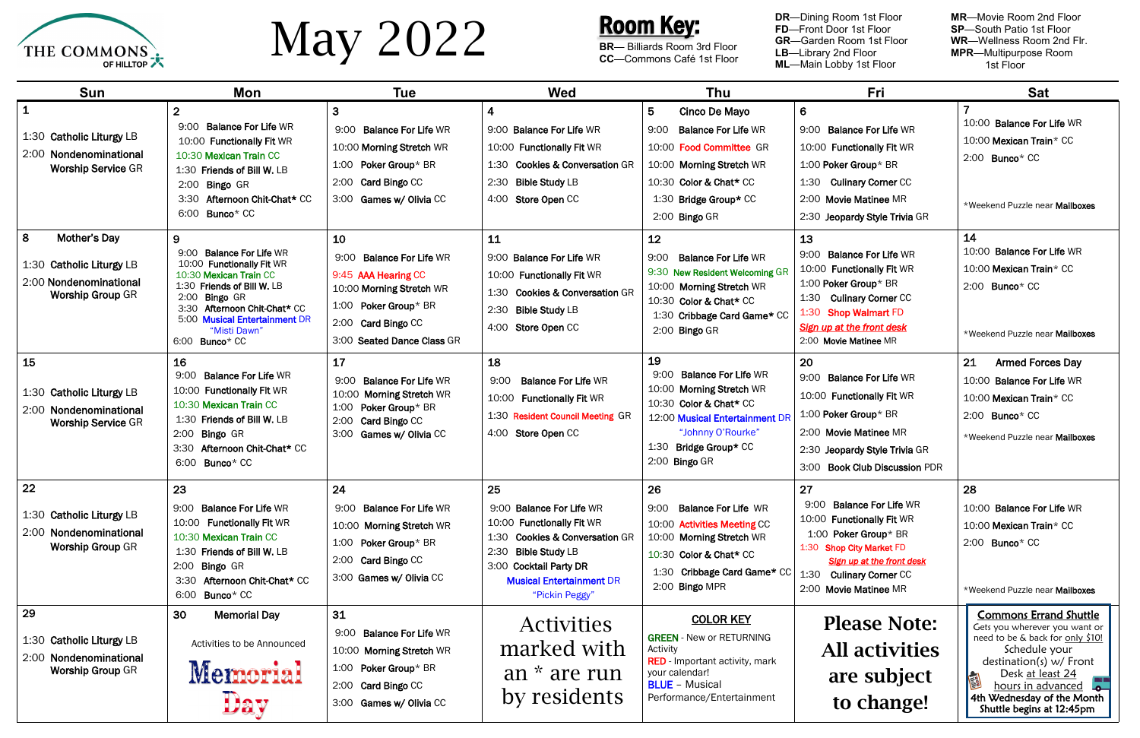

# May 2022

**MR**—Movie Room 2nd Floor **SP**—South Patio 1st Floor **WR**—Wellness Room 2nd Flr.<br>**MPR**—Multipurpose Room<br>1st Floor

| <b>Sun</b>                                                                                                | <b>Mon</b>                                                                                                                                                                                                                                             | <b>Tue</b>                                                                                                                                                    | <b>Wed</b>                                                                                                                                                                                          | Thu                                                                                                                                                                                             | Fri                                                                                                                                                                                              | <b>Sat</b>                                                                                                                                                                                                                                           |
|-----------------------------------------------------------------------------------------------------------|--------------------------------------------------------------------------------------------------------------------------------------------------------------------------------------------------------------------------------------------------------|---------------------------------------------------------------------------------------------------------------------------------------------------------------|-----------------------------------------------------------------------------------------------------------------------------------------------------------------------------------------------------|-------------------------------------------------------------------------------------------------------------------------------------------------------------------------------------------------|--------------------------------------------------------------------------------------------------------------------------------------------------------------------------------------------------|------------------------------------------------------------------------------------------------------------------------------------------------------------------------------------------------------------------------------------------------------|
| $\mathbf 1$<br>1:30 Catholic Liturgy LB<br>2:00 Nondenominational<br><b>Worship Service GR</b>            | $\overline{2}$<br><b>Balance For Life WR</b><br>9:00<br>10:00 Functionally Fit WR<br>10:30 Mexican Train CC<br>1:30 Friends of Bill W. LB<br>2:00 Bingo GR<br>3:30 Afternoon Chit-Chat* CC<br>Bunco* CC<br>6:00                                        | $\mathbf{3}$<br>9:00 Balance For Life WR<br>10:00 Morning Stretch WR<br>1:00 Poker Group* BR<br>2:00 Card Bingo CC<br>3:00 Games w/ Olivia CC                 | 4<br>9:00 Balance For Life WR<br>10:00 Functionally Fit WR<br>1:30 Cookies & Conversation GR<br>2:30<br><b>Bible Study LB</b><br>4:00 Store Open CC                                                 | 5<br>Cinco De Mayo<br>9:00<br><b>Balance For Life WR</b><br>10:00 Food Committee GR<br>10:00 Morning Stretch WR<br>10:30 Color & Chat* CC<br>1:30 Bridge Group* CC<br>2:00 Bingo GR             | $6 \,$<br>9:00 Balance For Life WR<br>10:00 Functionally Fit WR<br>1:00 Poker Group* BR<br>1:30 Culinary Corner CC<br>2:00 Movie Matinee MR<br>2:30 Jeopardy Style Trivia GR                     | 10:00 Balance For Life WR<br>10:00 Mexican Train* CC<br>2:00 Bunco* CC<br>*Weekend Puzzle near Mailboxes                                                                                                                                             |
| 8<br><b>Mother's Day</b><br>1:30 Catholic Liturgy LB<br>2:00 Nondenominational<br><b>Worship Group GR</b> | 9<br><b>Balance For Life WR</b><br>9:00<br>10:00 Functionally Fit WR<br>10:30 Mexican Train CC<br>1:30 Friends of Bill W. LB<br>2:00<br>Bingo GR<br>Afternoon Chit-Chat* CC<br>3:30<br>5:00 Musical Entertainment DR<br>"Misti Dawn"<br>6:00 Bunco* CC | 10<br>9:00 Balance For Life WR<br>9:45 AAA Hearing CC<br>10:00 Morning Stretch WR<br>1:00 Poker Group* BR<br>2:00 Card Bingo CC<br>3:00 Seated Dance Class GR | 11<br>9:00 Balance For Life WR<br>10:00 Functionally Fit WR<br>1:30 Cookies & Conversation GR<br>2:30 Bible Study LB<br>4:00 Store Open CC                                                          | 12<br>9:00<br><b>Balance For Life WR</b><br>9:30 New Resident Welcoming GR<br>10:00 Morning Stretch WR<br>10:30 Color & Chat* CC<br>1:30 Cribbage Card Game* CC<br>2:00 Bingo GR                | 13<br>9:00 Balance For Life WR<br>10:00 Functionally Fit WR<br>1:00 Poker Group* BR<br>1:30 Culinary Corner CC<br>1:30 Shop Walmart FD<br>Sign up at the front desk<br>2:00 Movie Matinee MR     | 14<br>10:00 Balance For Life WR<br>10:00 Mexican Train* CC<br>$2:00$ Bunco* CC<br>*Weekend Puzzle near Mailboxes                                                                                                                                     |
| 15<br>1:30 Catholic Liturgy LB<br>2:00 Nondenominational<br><b>Worship Service GR</b>                     | 16<br><b>Balance For Life WR</b><br>9:00<br>10:00 Functionally Fit WR<br>10:30 Mexican Train CC<br>1:30 Friends of Bill W. LB<br>2:00<br><b>Bingo GR</b><br>Afternoon Chit-Chat* CC<br>3:30<br>6:00 Bunco* CC                                          | 17<br><b>Balance For Life WR</b><br>9:00<br>10:00 Morning Stretch WR<br>1:00 Poker Group* BR<br>2:00 Card Bingo CC<br>3:00 Games w/ Olivia CC                 | 18<br><b>Balance For Life WR</b><br>9:00<br>10:00 Functionally Fit WR<br>1:30 Resident Council Meeting GR<br>4:00 Store Open CC                                                                     | 19<br><b>Balance For Life WR</b><br>9:00<br>10:00 Morning Stretch WR<br>10:30 Color & Chat* CC<br>12:00 Musical Entertainment DR<br>"Johnny O'Rourke"<br>1:30 Bridge Group* CC<br>2:00 Bingo GR | 20<br>9:00 Balance For Life WR<br>10:00 Functionally Fit WR<br>1:00 Poker Group* BR<br>2:00 Movie Matinee MR<br>2:30 Jeopardy Style Trivia GR<br>3:00 Book Club Discussion PDR                   | 21<br><b>Armed Forces Day</b><br>10:00 Balance For Life WR<br>10:00 Mexican Train* CC<br>2:00 Bunco* CC<br>*Weekend Puzzle near Mailboxes                                                                                                            |
| 22<br>1:30 Catholic Liturgy LB<br>2:00 Nondenominational<br><b>Worship Group GR</b>                       | 23<br>9:00 Balance For Life WR<br>10:00 Functionally Fit WR<br>10:30 Mexican Train CC<br>1:30 Friends of Bill W. LB<br><b>Bingo GR</b><br>2:00<br>Afternoon Chit-Chat* CC<br>3:30<br>6:00<br>Bunco* CC                                                 | 24<br>9:00 Balance For Life WR<br>10:00 Morning Stretch WR<br>1:00 Poker Group* BR<br>2:00 Card Bingo CC<br>3:00 Games w/ Olivia CC                           | 25<br>9:00 Balance For Life WR<br>10:00 Functionally Fit WR<br>1:30 Cookies & Conversation GR<br>2:30 Bible Study LB<br>3:00 Cocktail Party DR<br><b>Musical Entertainment DR</b><br>"Pickin Peggy" | 26<br>9:00 Balance For Life WR<br>10:00 Activities Meeting CC<br>10:00 Morning Stretch WR<br>10:30 Color & Chat* CC<br>1:30 Cribbage Card Game* CC<br>2:00 Bingo MPR                            | 27<br>9:00 Balance For Life WR<br>10:00 Functionally Fit WR<br>1:00 Poker Group* BR<br>1:30 Shop City Market FD<br>Sign up at the front desk<br>1:30 Culinary Corner CC<br>2:00 Movie Matinee MR | 28<br>10:00 Balance For Life WR<br>10:00 Mexican Train* CC<br>2:00 Bunco* CC<br>*Weekend Puzzle near Mailboxes                                                                                                                                       |
| 29<br>1:30 Catholic Liturgy LB<br>2:00 Nondenominational<br><b>Worship Group GR</b>                       | 30<br><b>Memorial Day</b><br>Activities to be Announced<br>Memorial<br>Day                                                                                                                                                                             | 31<br>9:00 Balance For Life WR<br>10:00 Morning Stretch WR<br>1:00 Poker Group* BR<br>2:00 Card Bingo CC<br>3:00 Games w/ Olivia CC                           | <b>Activities</b><br>marked with<br>an * are run<br>by residents                                                                                                                                    | <b>COLOR KEY</b><br><b>GREEN - New or RETURNING</b><br>Activity<br><b>RED</b> - Important activity, mark<br>your calendar!<br><b>BLUE</b> - Musical<br>Performance/Entertainment                | <b>Please Note:</b><br><b>All activities</b><br>are subject<br>to change!                                                                                                                        | <b>Commons Errand Shuttle</b><br>Gets you wherever you want or<br>need to be & back for only \$10!<br>Schedule your<br>destination(s) $w/$ Front<br>Desk at least 24<br>hours in advanced<br>4th Wednesday of the Month<br>Shuttle begins at 12:45pm |

#### Room Key:

**BR**— Billiards Room 3rd Floor **CC**—Commons Café 1st Floor

**DR**—Dining Room 1st Floor **FD**—Front Door 1st Floor **GR**—Garden Room 1st Floor **LB**—Library 2nd Floor **ML**—Main Lobby 1st Floor